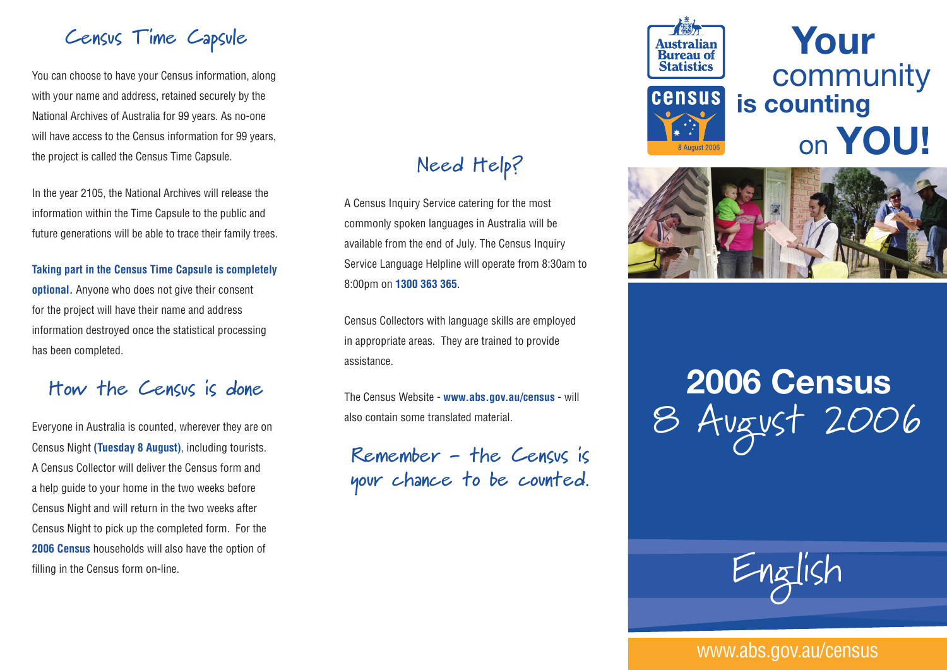#### **Census Time Capsule**

You can choose to have your Census information, along with your name and address, retained securely by the National Archives of Australia for 99 years. As no-one will have access to the Census information for 99 years, the project is called the Census Time Capsule.

In the year 2105, the National Archives will release the information within the Time Capsule to the public and future generations will be able to trace their family trees.

#### **Taking part in the Census Time Capsule is completely**

**optional.** Anyone who does not give their consent for the project will have their name and address information destroyed once the statistical processing has been completed.

#### **How the Census is done**

Everyone in Australia is counted, wherever they are on Census Night **(Tuesday 8 August)**, including tourists. A Census Collector will deliver the Census form and a help guide to your home in the two weeks before Census Night and will return in the two weeks after Census Night to pick up the completed form. For the **2006 Census** households will also have the option of filling in the Census form on-line.

#### **Need Help?**

A Census Inquiry Service catering for the most commonly spoken languages in Australia will be available from the end of July. The Census Inquiry Service Language Helpline will operate from 8:30am to 8:00pm on **1300 363 365**.

Census Collectors with language skills are employed in appropriate areas. They are trained to provide assistance.

The Census Website - **www.abs.gov.au/census** - will also contain some translated material.

**Remember - the Census is your chance to be counted.**



**Your** community **is counting**  on **YOU!**



# **2006 Census** 8 August 2006



#### www.abs.gov.au/census